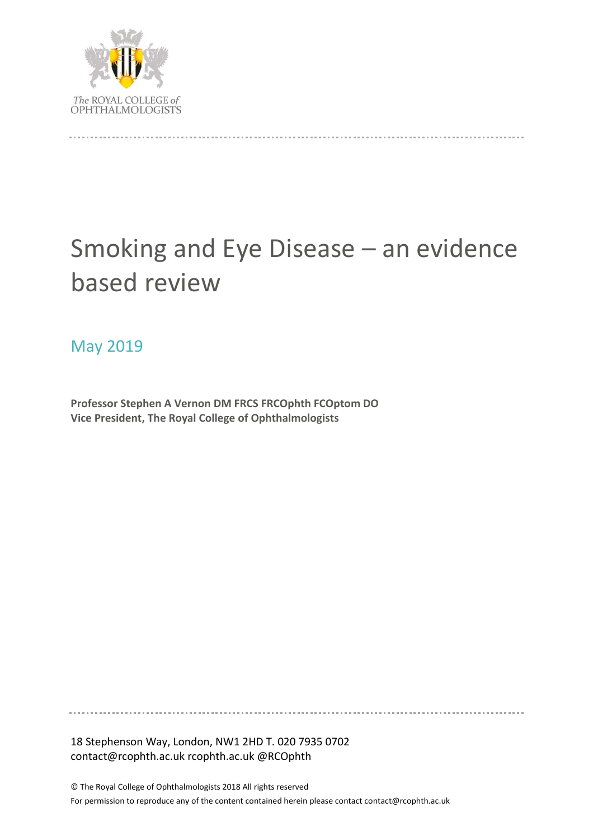

# Smoking and Eye Disease – an evidence based review

## May 2019

**Professor Stephen A Vernon DM FRCS FRCOphth FCOptom DO Vice President, The Royal College of Ophthalmologists**

18 Stephenson Way, London, NW1 2HD T. 020 7935 0702 contact@rcophth.ac.uk rcophth.ac.uk @RCOphth

© The Royal College of Ophthalmologists 2018 All rights reserved For permission to reproduce any of the content contained herein please contact contact@rcophth.ac.uk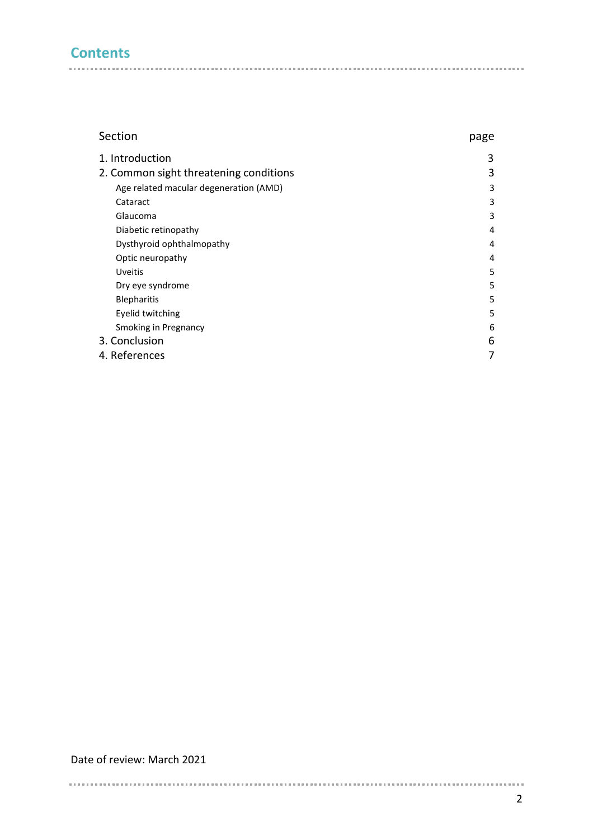## **Contents**

| page |
|------|
| 3    |
| 3    |
| 3    |
| 3    |
| 3    |
| 4    |
| 4    |
| 4    |
| 5    |
| 5    |
| 5    |
| 5    |
| 6    |
| 6    |
| 7    |
|      |

Date of review: March 2021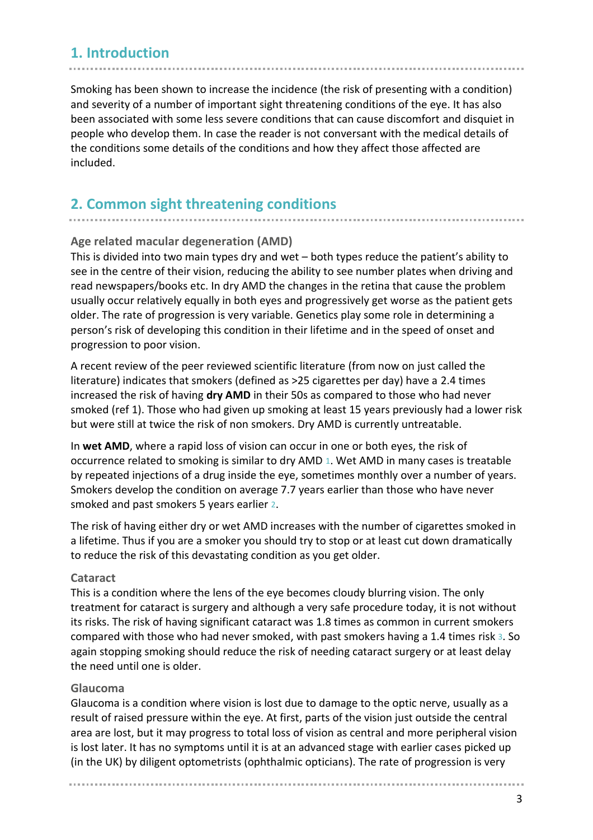## **1. Introduction**

Smoking has been shown to increase the incidence (the risk of presenting with a condition) and severity of a number of important sight threatening conditions of the eye. It has also been associated with some less severe conditions that can cause discomfort and disquiet in people who develop them. In case the reader is not conversant with the medical details of the conditions some details of the conditions and how they affect those affected are included.

### **2. Common sight threatening conditions**

#### **Age related macular degeneration (AMD)**

This is divided into two main types dry and wet – both types reduce the patient's ability to see in the centre of their vision, reducing the ability to see number plates when driving and read newspapers/books etc. In dry AMD the changes in the retina that cause the problem usually occur relatively equally in both eyes and progressively get worse as the patient gets older. The rate of progression is very variable. Genetics play some role in determining a person's risk of developing this condition in their lifetime and in the speed of onset and progression to poor vision.

A recent review of the peer reviewed scientific literature (from now on just called the literature) indicates that smokers (defined as >25 cigarettes per day) have a 2.4 times increased the risk of having **dry AMD** in their 50s as compared to those who had never smoked (ref 1). Those who had given up smoking at least 15 years previously had a lower risk but were still at twice the risk of non smokers. Dry AMD is currently untreatable.

In **wet AMD**, where a rapid loss of vision can occur in one or both eyes, the risk of occurrence related to smoking is similar to dry AMD 1. Wet AMD in many cases is treatable by repeated injections of a drug inside the eye, sometimes monthly over a number of years. Smokers develop the condition on average 7.7 years earlier than those who have never smoked and past smokers 5 years earlier 2.

The risk of having either dry or wet AMD increases with the number of cigarettes smoked in a lifetime. Thus if you are a smoker you should try to stop or at least cut down dramatically to reduce the risk of this devastating condition as you get older.

#### **Cataract**

This is a condition where the lens of the eye becomes cloudy blurring vision. The only treatment for cataract is surgery and although a very safe procedure today, it is not without its risks. The risk of having significant cataract was 1.8 times as common in current smokers compared with those who had never smoked, with past smokers having a 1.4 times risk 3. So again stopping smoking should reduce the risk of needing cataract surgery or at least delay the need until one is older.

#### **Glaucoma**

Glaucoma is a condition where vision is lost due to damage to the optic nerve, usually as a result of raised pressure within the eye. At first, parts of the vision just outside the central area are lost, but it may progress to total loss of vision as central and more peripheral vision is lost later. It has no symptoms until it is at an advanced stage with earlier cases picked up (in the UK) by diligent optometrists (ophthalmic opticians). The rate of progression is very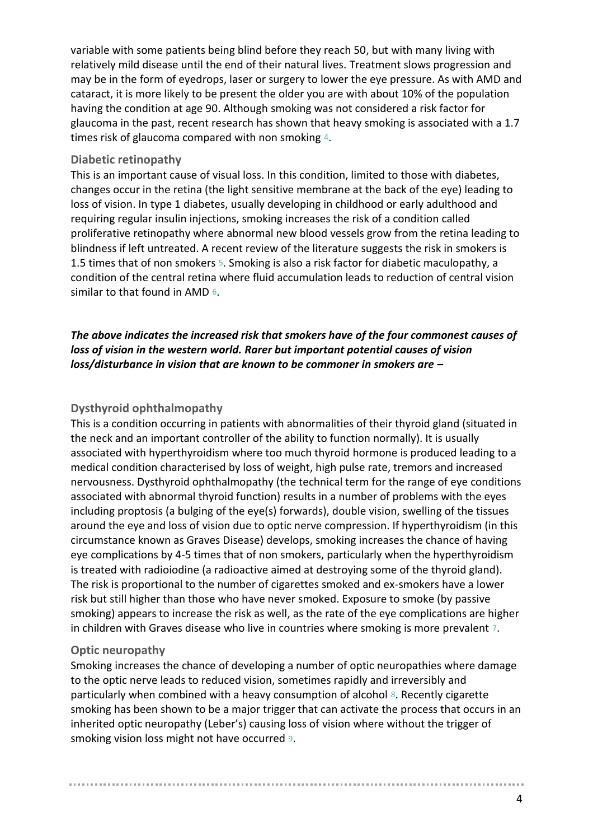variable with some patients being blind before they reach 50, but with many living with relatively mild disease until the end of their natural lives. Treatment slows progression and may be in the form of eyedrops, laser or surgery to lower the eye pressure. As with AMD and cataract, it is more likely to be present the older you are with about 10% of the population having the condition at age 90. Although smoking was not considered a risk factor for glaucoma in the past, recent research has shown that heavy smoking is associated with a 1.7 times risk of glaucoma compared with non smoking 4.

#### **Diabetic retinopathy**

This is an important cause of visual loss. In this condition, limited to those with diabetes, changes occur in the retina (the light sensitive membrane at the back of the eye) leading to loss of vision. In type 1 diabetes, usually developing in childhood or early adulthood and requiring regular insulin injections, smoking increases the risk of a condition called proliferative retinopathy where abnormal new blood vessels grow from the retina leading to blindness if left untreated. A recent review of the literature suggests the risk in smokers is 1.5 times that of non smokers 5. Smoking is also a risk factor for diabetic maculopathy, a condition of the central retina where fluid accumulation leads to reduction of central vision similar to that found in AMD 6.

#### *The above indicates the increased risk that smokers have of the four commonest causes of loss of vision in the western world. Rarer but important potential causes of vision loss/disturbance in vision that are known to be commoner in smokers are –*

#### **Dysthyroid ophthalmopathy**

This is a condition occurring in patients with abnormalities of their thyroid gland (situated in the neck and an important controller of the ability to function normally). It is usually associated with hyperthyroidism where too much thyroid hormone is produced leading to a medical condition characterised by loss of weight, high pulse rate, tremors and increased nervousness. Dysthyroid ophthalmopathy (the technical term for the range of eye conditions associated with abnormal thyroid function) results in a number of problems with the eyes including proptosis (a bulging of the eye(s) forwards), double vision, swelling of the tissues around the eye and loss of vision due to optic nerve compression. If hyperthyroidism (in this circumstance known as Graves Disease) develops, smoking increases the chance of having eye complications by 4-5 times that of non smokers, particularly when the hyperthyroidism is treated with radioiodine (a radioactive aimed at destroying some of the thyroid gland). The risk is proportional to the number of cigarettes smoked and ex-smokers have a lower risk but still higher than those who have never smoked. Exposure to smoke (by passive smoking) appears to increase the risk as well, as the rate of the eye complications are higher in children with Graves disease who live in countries where smoking is more prevalent 7.

#### **Optic neuropathy**

Smoking increases the chance of developing a number of optic neuropathies where damage to the optic nerve leads to reduced vision, sometimes rapidly and irreversibly and particularly when combined with a heavy consumption of alcohol 8. Recently cigarette smoking has been shown to be a major trigger that can activate the process that occurs in an inherited optic neuropathy (Leber's) causing loss of vision where without the trigger of smoking vision loss might not have occurred 9.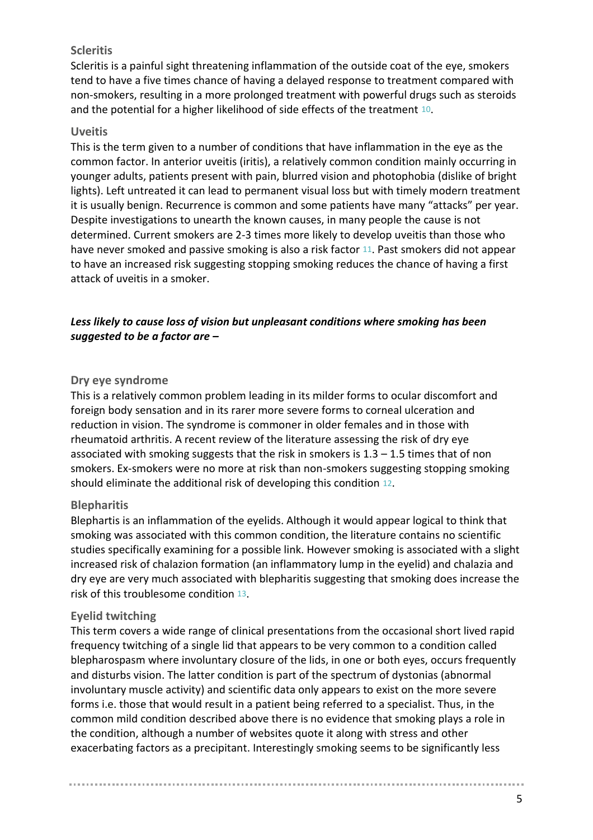#### **Scleritis**

Scleritis is a painful sight threatening inflammation of the outside coat of the eye, smokers tend to have a five times chance of having a delayed response to treatment compared with non-smokers, resulting in a more prolonged treatment with powerful drugs such as steroids and the potential for a higher likelihood of side effects of the treatment 10.

#### **Uveitis**

This is the term given to a number of conditions that have inflammation in the eye as the common factor. In anterior uveitis (iritis), a relatively common condition mainly occurring in younger adults, patients present with pain, blurred vision and photophobia (dislike of bright lights). Left untreated it can lead to permanent visual loss but with timely modern treatment it is usually benign. Recurrence is common and some patients have many "attacks" per year. Despite investigations to unearth the known causes, in many people the cause is not determined. Current smokers are 2-3 times more likely to develop uveitis than those who have never smoked and passive smoking is also a risk factor 11. Past smokers did not appear to have an increased risk suggesting stopping smoking reduces the chance of having a first attack of uveitis in a smoker.

#### *Less likely to cause loss of vision but unpleasant conditions where smoking has been suggested to be a factor are –*

#### **Dry eye syndrome**

This is a relatively common problem leading in its milder forms to ocular discomfort and foreign body sensation and in its rarer more severe forms to corneal ulceration and reduction in vision. The syndrome is commoner in older females and in those with rheumatoid arthritis. A recent review of the literature assessing the risk of dry eye associated with smoking suggests that the risk in smokers is  $1.3 - 1.5$  times that of non smokers. Ex-smokers were no more at risk than non-smokers suggesting stopping smoking should eliminate the additional risk of developing this condition 12.

#### **Blepharitis**

Blephartis is an inflammation of the eyelids. Although it would appear logical to think that smoking was associated with this common condition, the literature contains no scientific studies specifically examining for a possible link. However smoking is associated with a slight increased risk of chalazion formation (an inflammatory lump in the eyelid) and chalazia and dry eye are very much associated with blepharitis suggesting that smoking does increase the risk of this troublesome condition 13.

#### **Eyelid twitching**

This term covers a wide range of clinical presentations from the occasional short lived rapid frequency twitching of a single lid that appears to be very common to a condition called blepharospasm where involuntary closure of the lids, in one or both eyes, occurs frequently and disturbs vision. The latter condition is part of the spectrum of dystonias (abnormal involuntary muscle activity) and scientific data only appears to exist on the more severe forms i.e. those that would result in a patient being referred to a specialist. Thus, in the common mild condition described above there is no evidence that smoking plays a role in the condition, although a number of websites quote it along with stress and other exacerbating factors as a precipitant. Interestingly smoking seems to be significantly less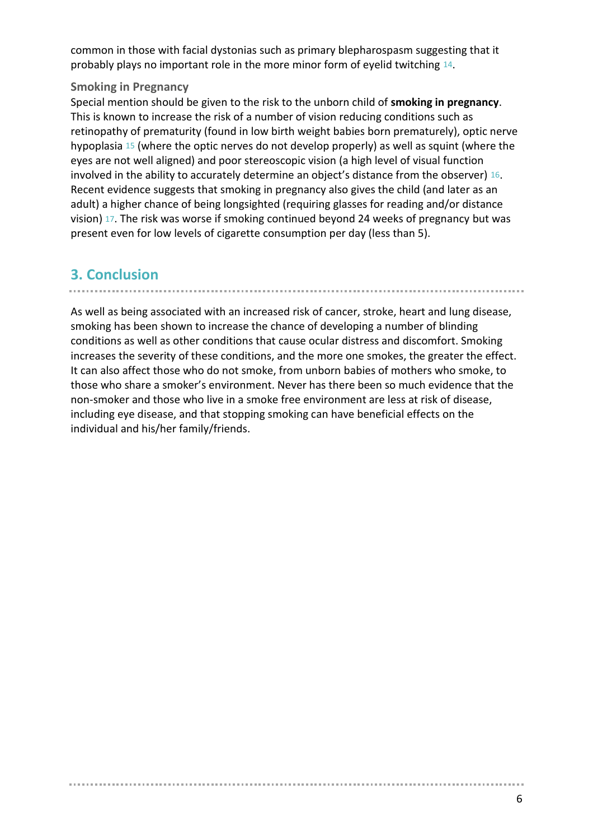common in those with facial dystonias such as primary blepharospasm suggesting that it probably plays no important role in the more minor form of eyelid twitching 14.

#### **Smoking in Pregnancy**

Special mention should be given to the risk to the unborn child of **smoking in pregnancy**. This is known to increase the risk of a number of vision reducing conditions such as retinopathy of prematurity (found in low birth weight babies born prematurely), optic nerve hypoplasia 15 (where the optic nerves do not develop properly) as well as squint (where the eyes are not well aligned) and poor stereoscopic vision (a high level of visual function involved in the ability to accurately determine an object's distance from the observer) 16. Recent evidence suggests that smoking in pregnancy also gives the child (and later as an adult) a higher chance of being longsighted (requiring glasses for reading and/or distance vision) 17. The risk was worse if smoking continued beyond 24 weeks of pregnancy but was present even for low levels of cigarette consumption per day (less than 5).

## **3. Conclusion**

. . . . . . .

As well as being associated with an increased risk of cancer, stroke, heart and lung disease, smoking has been shown to increase the chance of developing a number of blinding conditions as well as other conditions that cause ocular distress and discomfort. Smoking increases the severity of these conditions, and the more one smokes, the greater the effect. It can also affect those who do not smoke, from unborn babies of mothers who smoke, to those who share a smoker's environment. Never has there been so much evidence that the non-smoker and those who live in a smoke free environment are less at risk of disease, including eye disease, and that stopping smoking can have beneficial effects on the individual and his/her family/friends.